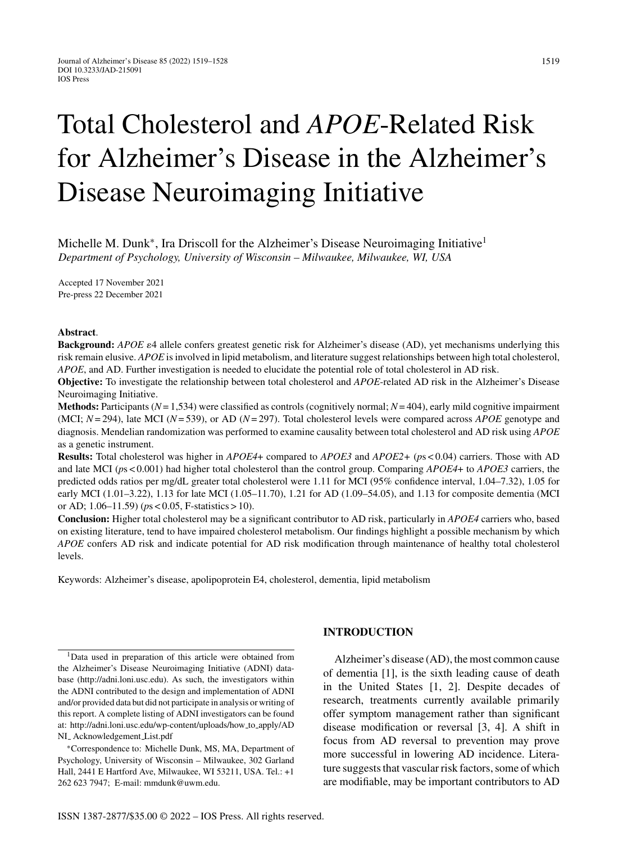# Total Cholesterol and *APOE*-Related Risk for Alzheimer's Disease in the Alzheimer's Disease Neuroimaging Initiative

Michelle M. Dunk<sup>\*</sup>, Ira Driscoll for the Alzheimer's Disease Neuroimaging Initiative<sup>1</sup> *Department of Psychology, University of Wisconsin – Milwaukee, Milwaukee, WI, USA*

Accepted 17 November 2021 Pre-press 22 December 2021

#### **Abstract**.

Background: *APOE*  $\varepsilon$ 4 allele confers greatest genetic risk for Alzheimer's disease (AD), yet mechanisms underlying this risk remain elusive. *APOE* is involved in lipid metabolism, and literature suggest relationships between high total cholesterol, *APOE*, and AD. Further investigation is needed to elucidate the potential role of total cholesterol in AD risk.

**Objective:** To investigate the relationship between total cholesterol and *APOE*-related AD risk in the Alzheimer's Disease Neuroimaging Initiative.

**Methods:** Participants (*N*= 1,534) were classified as controls (cognitively normal; *N*= 404), early mild cognitive impairment (MCI; *N*= 294), late MCI (*N*= 539), or AD (*N*= 297). Total cholesterol levels were compared across *APOE* genotype and diagnosis. Mendelian randomization was performed to examine causality between total cholesterol and AD risk using *APOE* as a genetic instrument.

**Results:** Total cholesterol was higher in *APOE4*+ compared to *APOE3* and *APOE2+* (*p*s < 0.04) carriers. Those with AD and late MCI (*p*s < 0.001) had higher total cholesterol than the control group. Comparing *APOE4*+ to *APOE3* carriers, the predicted odds ratios per mg/dL greater total cholesterol were 1.11 for MCI (95% confidence interval, 1.04–7.32), 1.05 for early MCI (1.01–3.22), 1.13 for late MCI (1.05–11.70), 1.21 for AD (1.09–54.05), and 1.13 for composite dementia (MCI or AD; 1.06–11.59) (*p*s < 0.05, F-statistics > 10).

**Conclusion:** Higher total cholesterol may be a significant contributor to AD risk, particularly in *APOE4* carriers who, based on existing literature, tend to have impaired cholesterol metabolism. Our findings highlight a possible mechanism by which *APOE* confers AD risk and indicate potential for AD risk modification through maintenance of healthy total cholesterol levels.

Keywords: Alzheimer's disease, apolipoprotein E4, cholesterol, dementia, lipid metabolism

# **INTRODUCTION**

Alzheimer's disease (AD), the most common cause of dementia [1], is the sixth leading cause of death in the United States [1, 2]. Despite decades of research, treatments currently available primarily offer symptom management rather than significant disease modification or reversal [3, 4]. A shift in focus from AD reversal to prevention may prove more successful in lowering AD incidence. Literature suggests that vascular risk factors, some of which are modifiable, may be important contributors to AD

<sup>1</sup>Data used in preparation of this article were obtained from the Alzheimer's Disease Neuroimaging Initiative (ADNI) database (<http://adni.loni.usc.edu>). As such, the investigators within the ADNI contributed to the design and implementation of ADNI and/or provided data but did not participate in analysis or writing of this report. A complete listing of ADNI investigators can be found at: [http://adni.loni.usc.edu/wp-content/uploads/how](http://adni.loni.usc.edu/wp-content/uploads/how_to_apply/ADNI_ Acknowledgement_List.pdf) to apply/AD NI<sub>-</sub> Acknowledgement\_List.pdf

<sup>∗</sup>Correspondence to: Michelle Dunk, MS, MA, Department of Psychology, University of Wisconsin – Milwaukee, 302 Garland Hall, 2441 E Hartford Ave, Milwaukee, WI 53211, USA. Tel.: +1 262 623 7947; E-mail: [mmdunk@uwm.edu](mailto:mmdunk@uwm.edu).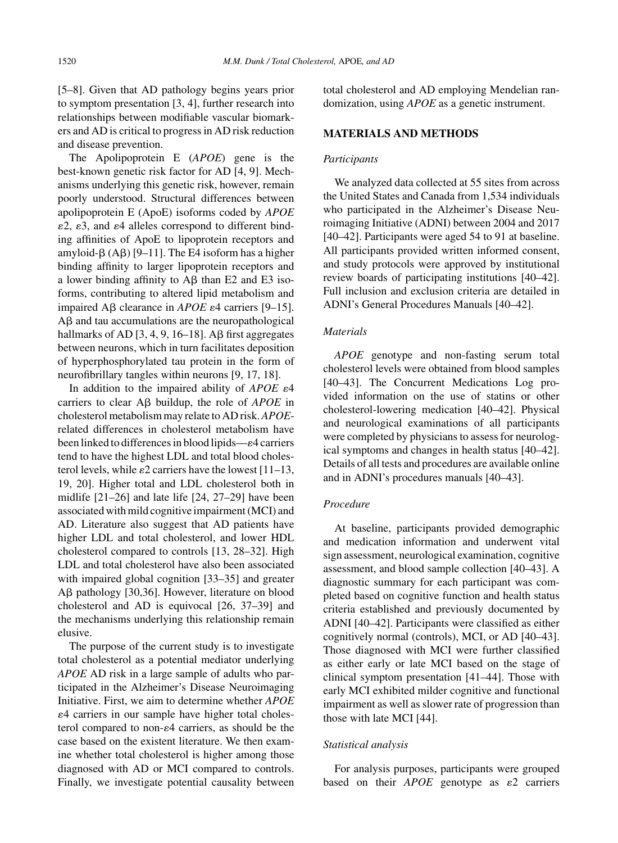[5–8]. Given that AD pathology begins years prior to symptom presentation [3, 4], further research into relationships between modifiable vascular biomarkers and AD is critical to progress in AD risk reduction and disease prevention.

The Apolipoprotein E (*APOE*) gene is the best-known genetic risk factor for AD [4, 9]. Mechanisms underlying this genetic risk, however, remain poorly understood. Structural differences between apolipoprotein E (ApoE) isoforms coded by *APOE*  $\varepsilon$ 2,  $\varepsilon$ 3, and  $\varepsilon$ 4 alleles correspond to different binding affinities of ApoE to lipoprotein receptors and amyloid- $\beta$  (A $\beta$ ) [9–11]. The E4 isoform has a higher binding affinity to larger lipoprotein receptors and a lower binding affinity to  $\overline{AB}$  than E2 and E3 isoforms, contributing to altered lipid metabolism and impaired  $\text{A}\beta$  clearance in *APOE* ε4 carriers [9–15].  $A\beta$  and tau accumulations are the neuropathological hallmarks of AD  $[3, 4, 9, 16–18]$ . A $\beta$  first aggregates between neurons, which in turn facilitates deposition of hyperphosphorylated tau protein in the form of neurofibrillary tangles within neurons [9, 17, 18].

In addition to the impaired ability of  $APOE$   $\varepsilon$ <sup>4</sup> carriers to clear A<sub>B</sub> buildup, the role of *APOE* in cholesterol metabolism may relate to AD risk.*APOE*related differences in cholesterol metabolism have been linked to differences in blood lipids— $\varepsilon$ 4 carriers tend to have the highest LDL and total blood cholesterol levels, while  $\varepsilon$ 2 carriers have the lowest [11–13, 19, 20]. Higher total and LDL cholesterol both in midlife [21–26] and late life [24, 27–29] have been associated with mild cognitive impairment (MCI) and AD. Literature also suggest that AD patients have higher LDL and total cholesterol, and lower HDL cholesterol compared to controls [13, 28–32]. High LDL and total cholesterol have also been associated with impaired global cognition [33–35] and greater  $\text{AB}$  pathology [30,36]. However, literature on blood cholesterol and AD is equivocal [26, 37–39] and the mechanisms underlying this relationship remain elusive.

The purpose of the current study is to investigate total cholesterol as a potential mediator underlying *APOE* AD risk in a large sample of adults who participated in the Alzheimer's Disease Neuroimaging Initiative. First, we aim to determine whether *APOE* -4 carriers in our sample have higher total cholesterol compared to non- $\varepsilon$ 4 carriers, as should be the case based on the existent literature. We then examine whether total cholesterol is higher among those diagnosed with AD or MCI compared to controls. Finally, we investigate potential causality between

total cholesterol and AD employing Mendelian randomization, using *APOE* as a genetic instrument.

# **MATERIALS AND METHODS**

#### *Participants*

We analyzed data collected at 55 sites from across the United States and Canada from 1,534 individuals who participated in the Alzheimer's Disease Neuroimaging Initiative (ADNI) between 2004 and 2017 [40–42]. Participants were aged 54 to 91 at baseline. All participants provided written informed consent, and study protocols were approved by institutional review boards of participating institutions [40–42]. Full inclusion and exclusion criteria are detailed in ADNI's General Procedures Manuals [40–42].

## *Materials*

*APOE* genotype and non-fasting serum total cholesterol levels were obtained from blood samples [40–43]. The Concurrent Medications Log provided information on the use of statins or other cholesterol-lowering medication [40–42]. Physical and neurological examinations of all participants were completed by physicians to assess for neurological symptoms and changes in health status [40–42]. Details of all tests and procedures are available online and in ADNI's procedures manuals [40–43].

## *Procedure*

At baseline, participants provided demographic and medication information and underwent vital sign assessment, neurological examination, cognitive assessment, and blood sample collection [40–43]. A diagnostic summary for each participant was completed based on cognitive function and health status criteria established and previously documented by ADNI [40–42]. Participants were classified as either cognitively normal (controls), MCI, or AD [40–43]. Those diagnosed with MCI were further classified as either early or late MCI based on the stage of clinical symptom presentation [41–44]. Those with early MCI exhibited milder cognitive and functional impairment as well as slower rate of progression than those with late MCI [44].

#### *Statistical analysis*

For analysis purposes, participants were grouped based on their  $APOE$  genotype as  $\varepsilon$ 2 carriers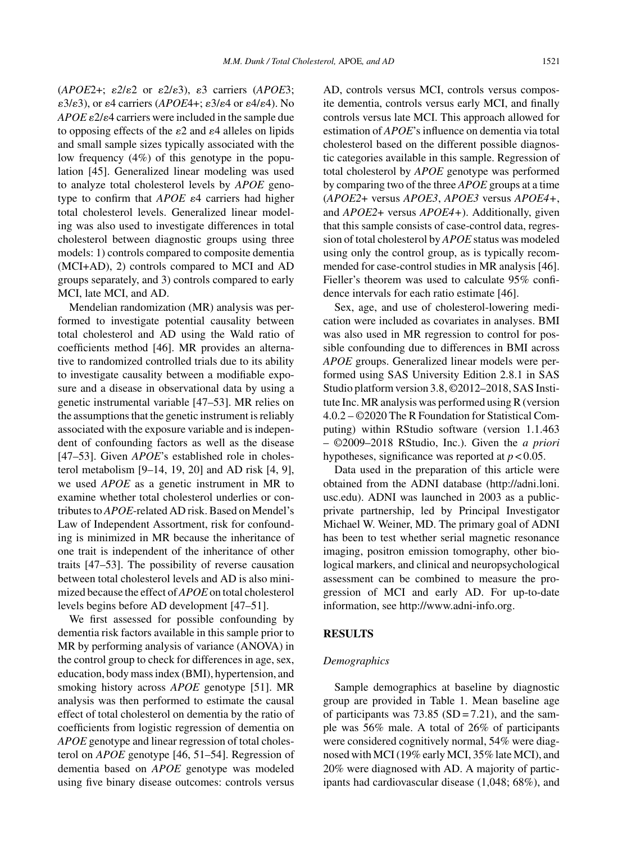$(APOE2+; \varepsilon2/\varepsilon2 \text{ or } \varepsilon2/\varepsilon3), \varepsilon3 \text{ carries } (APOE3;$  $\varepsilon$ 3/ $\varepsilon$ 3), or  $\varepsilon$ 4 carriers (*APOE*4+;  $\varepsilon$ 3/ $\varepsilon$ 4 or  $\varepsilon$ 4/ $\varepsilon$ 4). No  $APOE$   $\varepsilon$ 2/ $\varepsilon$ 4 carriers were included in the sample due to opposing effects of the  $\varepsilon$ 2 and  $\varepsilon$ 4 alleles on lipids and small sample sizes typically associated with the low frequency (4%) of this genotype in the population [45]. Generalized linear modeling was used to analyze total cholesterol levels by *APOE* genotype to confirm that *APOE*  $\varepsilon$ 4 carriers had higher total cholesterol levels. Generalized linear modeling was also used to investigate differences in total cholesterol between diagnostic groups using three models: 1) controls compared to composite dementia (MCI+AD), 2) controls compared to MCI and AD groups separately, and 3) controls compared to early MCI, late MCI, and AD.

Mendelian randomization (MR) analysis was performed to investigate potential causality between total cholesterol and AD using the Wald ratio of coefficients method [46]. MR provides an alternative to randomized controlled trials due to its ability to investigate causality between a modifiable exposure and a disease in observational data by using a genetic instrumental variable [47–53]. MR relies on the assumptions that the genetic instrument is reliably associated with the exposure variable and is independent of confounding factors as well as the disease [47–53]. Given *APOE*'s established role in cholesterol metabolism [9–14, 19, 20] and AD risk [4, 9], we used *APOE* as a genetic instrument in MR to examine whether total cholesterol underlies or contributes to *APOE*-related AD risk. Based on Mendel's Law of Independent Assortment, risk for confounding is minimized in MR because the inheritance of one trait is independent of the inheritance of other traits [47–53]. The possibility of reverse causation between total cholesterol levels and AD is also minimized because the effect of *APOE* on total cholesterol levels begins before AD development [47–51].

We first assessed for possible confounding by dementia risk factors available in this sample prior to MR by performing analysis of variance (ANOVA) in the control group to check for differences in age, sex, education, body mass index (BMI), hypertension, and smoking history across *APOE* genotype [51]. MR analysis was then performed to estimate the causal effect of total cholesterol on dementia by the ratio of coefficients from logistic regression of dementia on *APOE* genotype and linear regression of total cholesterol on *APOE* genotype [46, 51–54]. Regression of dementia based on *APOE* genotype was modeled using five binary disease outcomes: controls versus

AD, controls versus MCI, controls versus composite dementia, controls versus early MCI, and finally controls versus late MCI. This approach allowed for estimation of *APOE*'s influence on dementia via total cholesterol based on the different possible diagnostic categories available in this sample. Regression of total cholesterol by *APOE* genotype was performed by comparing two of the three *APOE* groups at a time (*APOE2*+ versus *APOE3*, *APOE3* versus *APOE4+*, and *APOE2*+ versus *APOE4+*). Additionally, given that this sample consists of case-control data, regression of total cholesterol by *APOE* status was modeled using only the control group, as is typically recommended for case-control studies in MR analysis [46]. Fieller's theorem was used to calculate 95% confidence intervals for each ratio estimate [46].

Sex, age, and use of cholesterol-lowering medication were included as covariates in analyses. BMI was also used in MR regression to control for possible confounding due to differences in BMI across *APOE* groups. Generalized linear models were performed using SAS University Edition 2.8.1 in SAS Studio platform version 3.8, ©2012–2018, SAS Institute Inc. MR analysis was performed using R (version 4.0.2 – ©2020 The R Foundation for Statistical Computing) within RStudio software (version 1.1.463 – ©2009–2018 RStudio, Inc.). Given the *a priori* hypotheses, significance was reported at *p* < 0.05.

Data used in the preparation of this article were obtained from the ADNI database ([http://adni.loni.](http://adni.loni.usc.edu) usc.edu). ADNI was launched in 2003 as a publicprivate partnership, led by Principal Investigator Michael W. Weiner, MD. The primary goal of ADNI has been to test whether serial magnetic resonance imaging, positron emission tomography, other biological markers, and clinical and neuropsychological assessment can be combined to measure the progression of MCI and early AD. For up-to-date information, see<http://www.adni-info.org>.

#### **RESULTS**

## *Demographics*

Sample demographics at baseline by diagnostic group are provided in Table 1. Mean baseline age of participants was  $73.85$  (SD = 7.21), and the sample was 56% male. A total of 26% of participants were considered cognitively normal, 54% were diagnosed with MCI (19% early MCI, 35% late MCI), and 20% were diagnosed with AD. A majority of participants had cardiovascular disease (1,048; 68%), and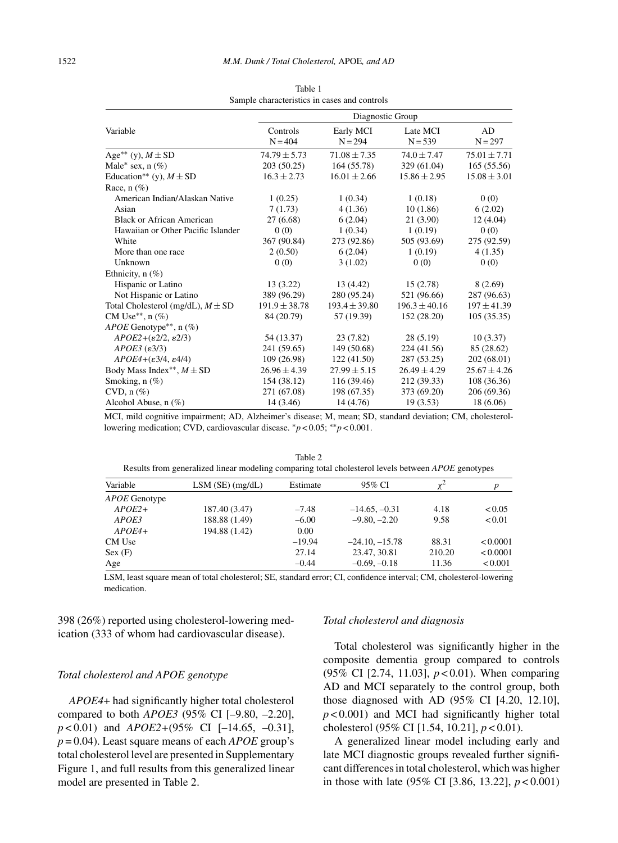|                                            | Diagnostic Group  |                   |                   |                  |  |  |
|--------------------------------------------|-------------------|-------------------|-------------------|------------------|--|--|
| Variable                                   | Controls          | Early MCI         | Late MCI          | AD               |  |  |
|                                            | $N = 404$         | $N = 294$         | $N = 539$         | $N = 297$        |  |  |
| Age <sup>**</sup> (y), $M \pm SD$          | $74.79 \pm 5.73$  | $71.08 \pm 7.35$  | $74.0 \pm 7.47$   | $75.01 \pm 7.71$ |  |  |
| Male* sex, $n$ (%)                         | 203 (50.25)       | 164 (55.78)       | 329 (61.04)       | 165(55.56)       |  |  |
| Education** (y), $M \pm SD$                | $16.3 \pm 2.73$   | $16.01 \pm 2.66$  | $15.86 \pm 2.95$  | $15.08 \pm 3.01$ |  |  |
| Race, $n$ (%)                              |                   |                   |                   |                  |  |  |
| American Indian/Alaskan Native             | 1(0.25)           | 1(0.34)           | 1(0.18)           | 0(0)             |  |  |
| Asian                                      | 7(1.73)           | 4(1.36)           | 10(1.86)          | 6(2.02)          |  |  |
| <b>Black or African American</b>           | 27(6.68)          | 6(2.04)           | 21 (3.90)         | 12(4.04)         |  |  |
| Hawaiian or Other Pacific Islander         | 0(0)              | 1(0.34)           | 1(0.19)           | 0(0)             |  |  |
| White                                      | 367 (90.84)       | 273 (92.86)       | 505 (93.69)       | 275 (92.59)      |  |  |
| More than one race                         | 2(0.50)           | 6(2.04)           | 1(0.19)           | 4(1.35)          |  |  |
| Unknown                                    | 0(0)              | 3(1.02)           | 0(0)              | 0(0)             |  |  |
| Ethnicity, $n$ (%)                         |                   |                   |                   |                  |  |  |
| Hispanic or Latino                         | 13 (3.22)         | 13 (4.42)         | 15(2.78)          | 8 (2.69)         |  |  |
| Not Hispanic or Latino                     | 389 (96.29)       | 280 (95.24)       | 521 (96.66)       | 287 (96.63)      |  |  |
| Total Cholesterol (mg/dL), $M \pm SD$      | $191.9 \pm 38.78$ | $193.4 \pm 39.80$ | $196.3 \pm 40.16$ | $197 \pm 41.39$  |  |  |
| CM Use**, $n$ (%)                          | 84 (20.79)        | 57 (19.39)        | 152 (28.20)       | 105(35.35)       |  |  |
| $APOE$ Genotype <sup>**</sup> , n $(\%)$   |                   |                   |                   |                  |  |  |
| $APOE2+(\varepsilon2/2, \varepsilon2/3)$   | 54 (13.37)        | 23(7.82)          | 28(5.19)          | 10(3.37)         |  |  |
| $APOE3$ ( $\varepsilon$ 3/3)               | 241 (59.65)       | 149 (50.68)       | 224 (41.56)       | 85 (28.62)       |  |  |
| $APOE4+(\varepsilon 3/4, \varepsilon 4/4)$ | 109 (26.98)       | 122 (41.50)       | 287 (53.25)       | 202 (68.01)      |  |  |
| Body Mass Index <sup>**</sup> , $M \pm SD$ | $26.96 \pm 4.39$  | $27.99 \pm 5.15$  | $26.49 \pm 4.29$  | $25.67 \pm 4.26$ |  |  |
| Smoking, $n$ (%)                           | 154 (38.12)       | 116 (39.46)       | 212 (39.33)       | 108 (36.36)      |  |  |
| $CVD$ , n $(\%)$                           | 271 (67.08)       | 198 (67.35)       | 373 (69.20)       | 206 (69.36)      |  |  |
| Alcohol Abuse, $n$ $(\%)$                  | 14 (3.46)         | 14 (4.76)         | 19(3.53)          | 18(6.06)         |  |  |

Table 1 Sample characteristics in cases and controls

MCI, mild cognitive impairment; AD, Alzheimer's disease; M, mean; SD, standard deviation; CM, cholesterollowering medication; CVD, cardiovascular disease. ∗*p* < 0.05; ∗∗*p* < 0.001.

|               | Results from generalized linear modeling comparing total cholesterol levels between APOE genotypes |          |                  |        |          |
|---------------|----------------------------------------------------------------------------------------------------|----------|------------------|--------|----------|
| Variable      | $LSM(SE)$ (mg/dL)                                                                                  | Estimate | 95% CI           | $x^2$  | p        |
| APOE Genotype |                                                                                                    |          |                  |        |          |
| $APOE2+$      | 187.40 (3.47)                                                                                      | $-7.48$  | $-14.65, -0.31$  | 4.18   | < 0.05   |
| APOE3         | 188.88 (1.49)                                                                                      | $-6.00$  | $-9.80, -2.20$   | 9.58   | < 0.01   |
| $APOE4+$      | 194.88 (1.42)                                                                                      | 0.00     |                  |        |          |
| CM Use        |                                                                                                    | $-19.94$ | $-24.10, -15.78$ | 88.31  | < 0.0001 |
| Sex(F)        |                                                                                                    | 27.14    | 23.47, 30.81     | 210.20 | < 0.0001 |
| Age           |                                                                                                    | $-0.44$  | $-0.69, -0.18$   | 11.36  | < 0.001  |

Table 2<br>nasion total shall stand layeds between Results from generalized linear modeling comparing total cholesterol levels between *APOE* genotypes

LSM, least square mean of total cholesterol; SE, standard error; CI, confidence interval; CM, cholesterol-lowering medication.

398 (26%) reported using cholesterol-lowering medication (333 of whom had cardiovascular disease).

# *Total cholesterol and APOE genotype*

*APOE4*+ had significantly higher total cholesterol compared to both *APOE3* (95% CI [–9.80, –2.20], *p* < 0.01) and *APOE2+*(95% CI [–14.65, –0.31], *p* = 0.04). Least square means of each *APOE* group's total cholesterol level are presented in Supplementary Figure 1, and full results from this generalized linear model are presented in Table 2.

#### *Total cholesterol and diagnosis*

Total cholesterol was significantly higher in the composite dementia group compared to controls (95% CI [2.74, 11.03], *p* < 0.01). When comparing AD and MCI separately to the control group, both those diagnosed with AD (95% CI [4.20, 12.10], *p* < 0.001) and MCI had significantly higher total cholesterol (95% CI [1.54, 10.21], *p* < 0.01).

A generalized linear model including early and late MCI diagnostic groups revealed further significant differences in total cholesterol, which was higher in those with late (95% CI [3.86, 13.22], *p* < 0.001)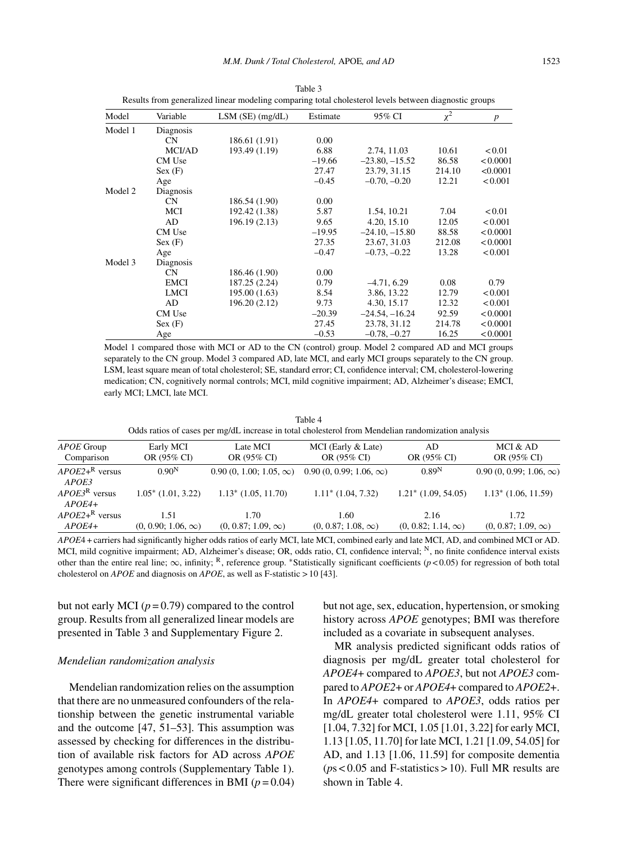| Model   | Variable    | $LSM$ (SE) (mg/dL) | Estimate | 95% CI           | $\chi^2$ | $\boldsymbol{p}$ |
|---------|-------------|--------------------|----------|------------------|----------|------------------|
| Model 1 | Diagnosis   |                    |          |                  |          |                  |
|         | <b>CN</b>   | 186.61 (1.91)      | 0.00     |                  |          |                  |
|         | MCI/AD      | 193.49 (1.19)      | 6.88     | 2.74, 11.03      | 10.61    | < 0.01           |
|         | CM Use      |                    | $-19.66$ | $-23.80, -15.52$ | 86.58    | < 0.0001         |
|         | Sex(F)      |                    | 27.47    | 23.79, 31.15     | 214.10   | < 0.0001         |
|         | Age         |                    | $-0.45$  | $-0.70, -0.20$   | 12.21    | < 0.001          |
| Model 2 | Diagnosis   |                    |          |                  |          |                  |
|         | <b>CN</b>   | 186.54 (1.90)      | 0.00     |                  |          |                  |
|         | MCI         | 192.42 (1.38)      | 5.87     | 1.54, 10.21      | 7.04     | < 0.01           |
|         | AD          | 196.19 (2.13)      | 9.65     | 4.20, 15.10      | 12.05    | < 0.001          |
|         | CM Use      |                    | $-19.95$ | $-24.10, -15.80$ | 88.58    | < 0.0001         |
|         | Sex(F)      |                    | 27.35    | 23.67, 31.03     | 212.08   | < 0.0001         |
|         | Age         |                    | $-0.47$  | $-0.73, -0.22$   | 13.28    | < 0.001          |
| Model 3 | Diagnosis   |                    |          |                  |          |                  |
|         | <b>CN</b>   | 186.46 (1.90)      | 0.00     |                  |          |                  |
|         | <b>EMCI</b> | 187.25 (2.24)      | 0.79     | $-4.71, 6.29$    | 0.08     | 0.79             |
|         | <b>LMCI</b> | 195.00 (1.63)      | 8.54     | 3.86, 13.22      | 12.79    | < 0.001          |
|         | AD          | 196.20 (2.12)      | 9.73     | 4.30, 15.17      | 12.32    | < 0.001          |
|         | CM Use      |                    | $-20.39$ | $-24.54, -16.24$ | 92.59    | < 0.0001         |
|         | Sex(F)      |                    | 27.45    | 23.78, 31.12     | 214.78   | < 0.0001         |
|         | Age         |                    | $-0.53$  | $-0.78, -0.27$   | 16.25    | < 0.0001         |

Table 3 Results from generalized linear modeling comparing total cholesterol levels between diagnostic groups

Model 1 compared those with MCI or AD to the CN (control) group. Model 2 compared AD and MCI groups separately to the CN group. Model 3 compared AD, late MCI, and early MCI groups separately to the CN group. LSM, least square mean of total cholesterol; SE, standard error; CI, confidence interval; CM, cholesterol-lowering medication; CN, cognitively normal controls; MCI, mild cognitive impairment; AD, Alzheimer's disease; EMCI, early MCI; LMCI, late MCI.

Table 4 Odds ratios of cases per mg/dL increase in total cholesterol from Mendelian randomization analysis

| APOE Group                               | Early MCI                         | Late MCI                          | MCI (Early & Late)                | AD                                | MCI & AD                          |
|------------------------------------------|-----------------------------------|-----------------------------------|-----------------------------------|-----------------------------------|-----------------------------------|
| Comparison                               | OR (95% CI)                       | OR (95% CI)                       | OR (95% CI)                       | OR (95% CI)                       | OR (95% CI)                       |
| $APOE2+$ <sup>R</sup> versus<br>APOE3    | 0.90 <sup>N</sup>                 | $0.90(0, 1.00; 1.05, \infty)$     | $0.90(0, 0.99; 1.06, \infty)$     | $0.89^{N}$                        | $0.90(0, 0.99; 1.06, \infty)$     |
| $APOE3^R$ versus<br>$APOE4+$             | $1.05^*$ (1.01, 3.22)             | $1.13^*$ (1.05, 11.70)            | $1.11^*$ (1.04, 7.32)             | $1.21^*$ (1.09, 54.05)            | $1.13^*$ (1.06, 11.59)            |
| $APOE2+$ <sup>R</sup> versus<br>$APOE4+$ | 1.51<br>$(0, 0.90; 1.06, \infty)$ | 1.70<br>$(0, 0.87; 1.09, \infty)$ | 1.60<br>$(0, 0.87; 1.08, \infty)$ | 2.16<br>$(0, 0.82; 1.14, \infty)$ | 1.72<br>$(0, 0.87; 1.09, \infty)$ |

*APOE*4 + carriers had significantly higher odds ratios of early MCI, late MCI, combined early and late MCI, AD, and combined MCI or AD. MCI, mild cognitive impairment; AD, Alzheimer's disease; OR, odds ratio, CI, confidence interval; N, no finite confidence interval exists other than the entire real line; <sup>∞</sup>, infinity; R, reference group. <sup>∗</sup>Statistically significant coefficients (*<sup>p</sup>* < 0.05) for regression of both total cholesterol on *APOE* and diagnosis on *APOE*, as well as F-statistic  $> 10$  [43].

but not early MCI  $(p = 0.79)$  compared to the control group. Results from all generalized linear models are presented in Table 3 and Supplementary Figure 2.

#### *Mendelian randomization analysis*

Mendelian randomization relies on the assumption that there are no unmeasured confounders of the relationship between the genetic instrumental variable and the outcome [47, 51–53]. This assumption was assessed by checking for differences in the distribution of available risk factors for AD across *APOE* genotypes among controls (Supplementary Table 1). There were significant differences in BMI  $(p=0.04)$  but not age, sex, education, hypertension, or smoking history across *APOE* genotypes; BMI was therefore included as a covariate in subsequent analyses.

MR analysis predicted significant odds ratios of diagnosis per mg/dL greater total cholesterol for *APOE4*+ compared to *APOE3*, but not *APOE3* compared to *APOE2*+ or *APOE4*+ compared to *APOE2*+. In *APOE4*+ compared to *APOE3*, odds ratios per mg/dL greater total cholesterol were 1.11, 95% CI [1.04, 7.32] for MCI, 1.05 [1.01, 3.22] for early MCI, 1.13 [1.05, 11.70] for late MCI, 1.21 [1.09, 54.05] for AD, and 1.13 [1.06, 11.59] for composite dementia  $(ps < 0.05$  and F-statistics  $> 10$ ). Full MR results are shown in Table 4.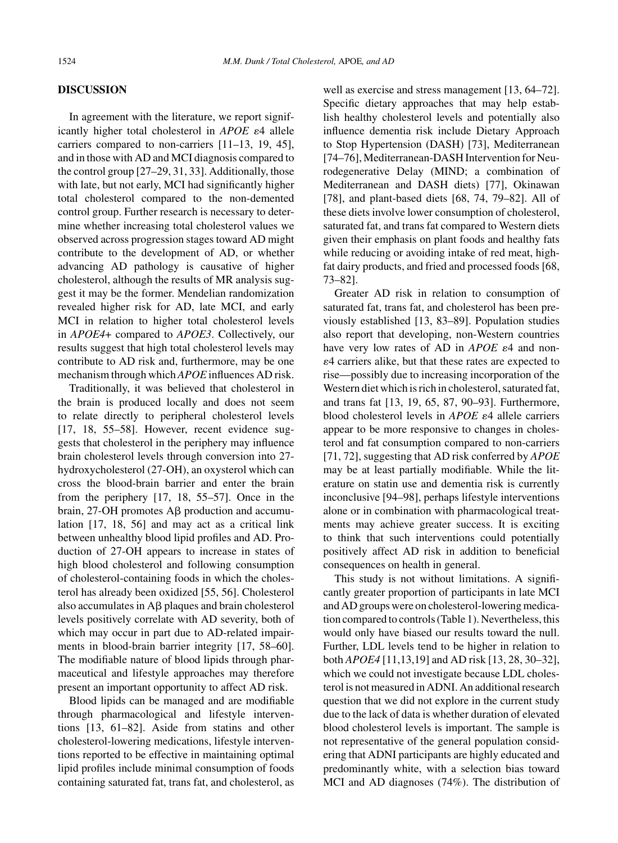## **DISCUSSION**

In agreement with the literature, we report significantly higher total cholesterol in *APOE*  $\varepsilon$ 4 allele carriers compared to non-carriers [11–13, 19, 45], and in those with AD and MCI diagnosis compared to the control group [27–29, 31, 33]. Additionally, those with late, but not early, MCI had significantly higher total cholesterol compared to the non-demented control group. Further research is necessary to determine whether increasing total cholesterol values we observed across progression stages toward AD might contribute to the development of AD, or whether advancing AD pathology is causative of higher cholesterol, although the results of MR analysis suggest it may be the former. Mendelian randomization revealed higher risk for AD, late MCI, and early MCI in relation to higher total cholesterol levels in *APOE4*+ compared to *APOE3*. Collectively, our results suggest that high total cholesterol levels may contribute to AD risk and, furthermore, may be one mechanism through which *APOE* influences AD risk.

Traditionally, it was believed that cholesterol in the brain is produced locally and does not seem to relate directly to peripheral cholesterol levels [17, 18, 55–58]. However, recent evidence suggests that cholesterol in the periphery may influence brain cholesterol levels through conversion into 27 hydroxycholesterol (27-OH), an oxysterol which can cross the blood-brain barrier and enter the brain from the periphery [17, 18, 55–57]. Once in the brain,  $27$ -OH promotes A $\beta$  production and accumulation [17, 18, 56] and may act as a critical link between unhealthy blood lipid profiles and AD. Production of 27-OH appears to increase in states of high blood cholesterol and following consumption of cholesterol-containing foods in which the cholesterol has already been oxidized [55, 56]. Cholesterol also accumulates in  $\overrightarrow{AB}$  plaques and brain cholesterol levels positively correlate with AD severity, both of which may occur in part due to AD-related impairments in blood-brain barrier integrity [17, 58–60]. The modifiable nature of blood lipids through pharmaceutical and lifestyle approaches may therefore present an important opportunity to affect AD risk.

Blood lipids can be managed and are modifiable through pharmacological and lifestyle interventions [13, 61–82]. Aside from statins and other cholesterol-lowering medications, lifestyle interventions reported to be effective in maintaining optimal lipid profiles include minimal consumption of foods containing saturated fat, trans fat, and cholesterol, as

well as exercise and stress management [13, 64–72]. Specific dietary approaches that may help establish healthy cholesterol levels and potentially also influence dementia risk include Dietary Approach to Stop Hypertension (DASH) [73], Mediterranean [74–76], Mediterranean-DASH Intervention for Neurodegenerative Delay (MIND; a combination of Mediterranean and DASH diets) [77], Okinawan [78], and plant-based diets [68, 74, 79–82]. All of these diets involve lower consumption of cholesterol, saturated fat, and trans fat compared to Western diets given their emphasis on plant foods and healthy fats while reducing or avoiding intake of red meat, highfat dairy products, and fried and processed foods [68, 73–82].

Greater AD risk in relation to consumption of saturated fat, trans fat, and cholesterol has been previously established [13, 83–89]. Population studies also report that developing, non-Western countries have very low rates of AD in  $APOE$   $\varepsilon$ 4 and non--4 carriers alike, but that these rates are expected to rise—possibly due to increasing incorporation of the Western diet which is rich in cholesterol, saturated fat, and trans fat [13, 19, 65, 87, 90–93]. Furthermore, blood cholesterol levels in *APOE* ε4 allele carriers appear to be more responsive to changes in cholesterol and fat consumption compared to non-carriers [71, 72], suggesting that AD risk conferred by *APOE* may be at least partially modifiable. While the literature on statin use and dementia risk is currently inconclusive [94–98], perhaps lifestyle interventions alone or in combination with pharmacological treatments may achieve greater success. It is exciting to think that such interventions could potentially positively affect AD risk in addition to beneficial consequences on health in general.

This study is not without limitations. A significantly greater proportion of participants in late MCI and AD groups were on cholesterol-lowering medication compared to controls (Table 1). Nevertheless, this would only have biased our results toward the null. Further, LDL levels tend to be higher in relation to both *APOE4* [11,13,19] and AD risk [13, 28, 30–32], which we could not investigate because LDL cholesterol is not measured in ADNI. An additional research question that we did not explore in the current study due to the lack of data is whether duration of elevated blood cholesterol levels is important. The sample is not representative of the general population considering that ADNI participants are highly educated and predominantly white, with a selection bias toward MCI and AD diagnoses (74%). The distribution of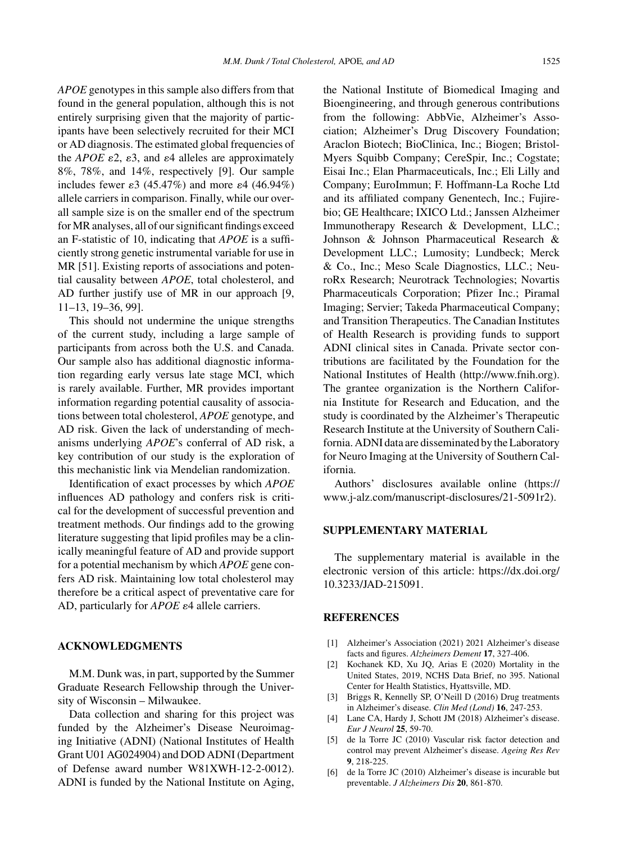*APOE* genotypes in this sample also differs from that found in the general population, although this is not entirely surprising given that the majority of participants have been selectively recruited for their MCI or AD diagnosis. The estimated global frequencies of the *APOE*  $\varepsilon$ 2,  $\varepsilon$ 3, and  $\varepsilon$ 4 alleles are approximately 8%, 78%, and 14%, respectively [9]. Our sample includes fewer  $\varepsilon$ 3 (45.47%) and more  $\varepsilon$ 4 (46.94%) allele carriers in comparison. Finally, while our overall sample size is on the smaller end of the spectrum for MR analyses, all of our significant findings exceed an F-statistic of 10, indicating that *APOE* is a sufficiently strong genetic instrumental variable for use in MR [51]. Existing reports of associations and potential causality between *APOE*, total cholesterol, and AD further justify use of MR in our approach [9, 11–13, 19–36, 99].

This should not undermine the unique strengths of the current study, including a large sample of participants from across both the U.S. and Canada. Our sample also has additional diagnostic information regarding early versus late stage MCI, which is rarely available. Further, MR provides important information regarding potential causality of associations between total cholesterol, *APOE* genotype, and AD risk. Given the lack of understanding of mechanisms underlying *APOE*'s conferral of AD risk, a key contribution of our study is the exploration of this mechanistic link via Mendelian randomization.

Identification of exact processes by which *APOE* influences AD pathology and confers risk is critical for the development of successful prevention and treatment methods. Our findings add to the growing literature suggesting that lipid profiles may be a clinically meaningful feature of AD and provide support for a potential mechanism by which *APOE* gene confers AD risk. Maintaining low total cholesterol may therefore be a critical aspect of preventative care for AD, particularly for *APOE*  $\varepsilon$ 4 allele carriers.

## **ACKNOWLEDGMENTS**

M.M. Dunk was, in part, supported by the Summer Graduate Research Fellowship through the University of Wisconsin – Milwaukee.

Data collection and sharing for this project was funded by the Alzheimer's Disease Neuroimaging Initiative (ADNI) (National Institutes of Health Grant U01 AG024904) and DOD ADNI (Department of Defense award number W81XWH-12-2-0012). ADNI is funded by the National Institute on Aging,

the National Institute of Biomedical Imaging and Bioengineering, and through generous contributions from the following: AbbVie, Alzheimer's Association; Alzheimer's Drug Discovery Foundation; Araclon Biotech; BioClinica, Inc.; Biogen; Bristol-Myers Squibb Company; CereSpir, Inc.; Cogstate; Eisai Inc.; Elan Pharmaceuticals, Inc.; Eli Lilly and Company; EuroImmun; F. Hoffmann-La Roche Ltd and its affiliated company Genentech, Inc.; Fujirebio; GE Healthcare; IXICO Ltd.; Janssen Alzheimer Immunotherapy Research & Development, LLC.; Johnson & Johnson Pharmaceutical Research & Development LLC.; Lumosity; Lundbeck; Merck & Co., Inc.; Meso Scale Diagnostics, LLC.; NeuroRx Research; Neurotrack Technologies; Novartis Pharmaceuticals Corporation; Pfizer Inc.; Piramal Imaging; Servier; Takeda Pharmaceutical Company; and Transition Therapeutics. The Canadian Institutes of Health Research is providing funds to support ADNI clinical sites in Canada. Private sector contributions are facilitated by the Foundation for the National Institutes of Health [\(http://www.fnih.org](http://www.fnih.org)). The grantee organization is the Northern California Institute for Research and Education, and the study is coordinated by the Alzheimer's Therapeutic Research Institute at the University of Southern California. ADNI data are disseminated by the Laboratory for Neuro Imaging at the University of Southern California.

Authors' disclosures available online [\(https://](https://www.j-alz.com/manuscript-disclosures/21-5091r2) [www.j-alz.com/manuscript-disclosures/21-5091r2\)](https://www.j-alz.com/manuscript-disclosures/21-5091r2).

# **SUPPLEMENTARY MATERIAL**

The supplementary material is available in the electronic version of this article: [https://dx.doi.org/](https://dx.doi.org/10.3233/JAD-215091) [10.3233/JAD-215091.](https://dx.doi.org/10.3233/JAD-215091)

## **REFERENCES**

- [1] Alzheimer's Association (2021) 2021 Alzheimer's disease facts and figures. *Alzheimers Dement* **17**, 327-406.
- [2] Kochanek KD, Xu JQ, Arias E (2020) Mortality in the United States, 2019, NCHS Data Brief, no 395. National Center for Health Statistics, Hyattsville, MD.
- [3] Briggs R, Kennelly SP, O'Neill D (2016) Drug treatments in Alzheimer's disease. *Clin Med (Lond)* **16**, 247-253.
- [4] Lane CA, Hardy J, Schott JM (2018) Alzheimer's disease. *Eur J Neurol* **25**, 59-70.
- [5] de la Torre JC (2010) Vascular risk factor detection and control may prevent Alzheimer's disease. *Ageing Res Rev* **9**, 218-225.
- [6] de la Torre JC (2010) Alzheimer's disease is incurable but preventable. *J Alzheimers Dis* **20**, 861-870.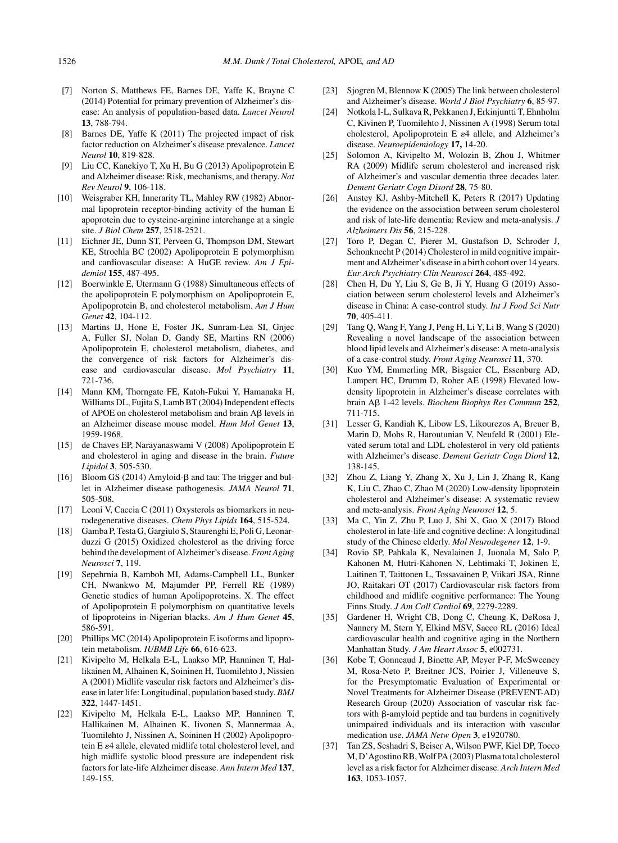- [7] Norton S, Matthews FE, Barnes DE, Yaffe K, Brayne C (2014) Potential for primary prevention of Alzheimer's disease: An analysis of population-based data. *Lancet Neurol* **13**, 788-794.
- [8] Barnes DE, Yaffe K (2011) The projected impact of risk factor reduction on Alzheimer's disease prevalence. *Lancet Neurol* **10**, 819-828.
- [9] Liu CC, Kanekiyo T, Xu H, Bu G (2013) Apolipoprotein E and Alzheimer disease: Risk, mechanisms, and therapy. *Nat Rev Neurol* **9**, 106-118.
- [10] Weisgraber KH, Innerarity TL, Mahley RW (1982) Abnormal lipoprotein receptor-binding activity of the human E apoprotein due to cysteine-arginine interchange at a single site. *J Biol Chem* **257**, 2518-2521.
- [11] Eichner JE, Dunn ST, Perveen G, Thompson DM, Stewart KE, Stroehla BC (2002) Apolipoprotein E polymorphism and cardiovascular disease: A HuGE review. *Am J Epidemiol* **155**, 487-495.
- [12] Boerwinkle E, Utermann G (1988) Simultaneous effects of the apolipoprotein E polymorphism on Apolipoprotein E, Apolipoprotein B, and cholesterol metabolism. *Am J Hum Genet* **42**, 104-112.
- [13] Martins IJ, Hone E, Foster JK, Sunram-Lea SI, Gnjec A, Fuller SJ, Nolan D, Gandy SE, Martins RN (2006) Apolipoprotein E, cholesterol metabolism, diabetes, and the convergence of risk factors for Alzheimer's disease and cardiovascular disease. *Mol Psychiatry* **11**, 721-736.
- [14] Mann KM, Thorngate FE, Katoh-Fukui Y, Hamanaka H, Williams DL, Fujita S, Lamb BT (2004) Independent effects of APOE on cholesterol metabolism and brain Aß levels in an Alzheimer disease mouse model. *Hum Mol Genet* **13**, 1959-1968.
- [15] de Chaves EP, Narayanaswami V (2008) Apolipoprotein E and cholesterol in aging and disease in the brain. *Future Lipidol* **3**, 505-530.
- [16] Bloom GS (2014) Amyloid- $\beta$  and tau: The trigger and bullet in Alzheimer disease pathogenesis. *JAMA Neurol* **71**, 505-508.
- [17] Leoni V, Caccia C (2011) Oxysterols as biomarkers in neurodegenerative diseases. *Chem Phys Lipids* **164**, 515-524.
- [18] Gamba P, Testa G, Gargiulo S, Staurenghi E, Poli G, Leonarduzzi G (2015) Oxidized cholesterol as the driving force behind the development of Alzheimer's disease.*Front Aging Neurosci* **7**, 119.
- [19] Sepehrnia B, Kamboh MI, Adams-Campbell LL, Bunker CH, Nwankwo M, Majumder PP, Ferrell RE (1989) Genetic studies of human Apolipoproteins. X. The effect of Apolipoprotein E polymorphism on quantitative levels of lipoproteins in Nigerian blacks. *Am J Hum Genet* **45**, 586-591.
- [20] Phillips MC (2014) Apolipoprotein E isoforms and lipoprotein metabolism. *IUBMB Life* **66**, 616-623.
- [21] Kivipelto M, Helkala E-L, Laakso MP, Hanninen T, Hallikainen M, Alhainen K, Soininen H, Tuomilehto J, Nissien A (2001) Midlife vascular risk factors and Alzheimer's disease in later life: Longitudinal, population based study. *BMJ* **322**, 1447-1451.
- [22] Kivipelto M, Helkala E-L, Laakso MP, Hanninen T, Hallikainen M, Alhainen K, Iivonen S, Mannermaa A, Tuomilehto J, Nissinen A, Soininen H (2002) Apolipoprotein E  $\varepsilon$ 4 allele, elevated midlife total cholesterol level, and high midlife systolic blood pressure are independent risk factors for late-life Alzheimer disease. *Ann Intern Med* **137**, 149-155.
- [23] Sjogren M, Blennow K (2005) The link between cholesterol and Alzheimer's disease. *World J Biol Psychiatry* **6**, 85-97.
- [24] Notkola I-L, Sulkava R, Pekkanen J, Erkinjuntti T, Ehnholm C, Kivinen P, Tuomilehto J, Nissinen A (1998) Serum total cholesterol, Apolipoprotein E  $\varepsilon$ 4 allele, and Alzheimer's disease. *Neuroepidemiology* **17,** 14-20.
- [25] Solomon A, Kivipelto M, Wolozin B, Zhou J, Whitmer RA (2009) Midlife serum cholesterol and increased risk of Alzheimer's and vascular dementia three decades later. *Dement Geriatr Cogn Disord* **28**, 75-80.
- [26] Anstey KJ, Ashby-Mitchell K, Peters R (2017) Updating the evidence on the association between serum cholesterol and risk of late-life dementia: Review and meta-analysis. *J Alzheimers Dis* **56**, 215-228.
- [27] Toro P, Degan C, Pierer M, Gustafson D, Schroder J, Schonknecht P (2014) Cholesterol in mild cognitive impairment and Alzheimer's disease in a birth cohort over 14 years. *Eur Arch Psychiatry Clin Neurosci* **264**, 485-492.
- [28] Chen H, Du Y, Liu S, Ge B, Ji Y, Huang G (2019) Association between serum cholesterol levels and Alzheimer's disease in China: A case-control study. *Int J Food Sci Nutr* **70**, 405-411.
- [29] Tang Q, Wang F, Yang J, Peng H, Li Y, Li B, Wang S (2020) Revealing a novel landscape of the association between blood lipid levels and Alzheimer's disease: A meta-analysis of a case-control study. *Front Aging Neurosci* **11**, 370.
- [30] Kuo YM, Emmerling MR, Bisgaier CL, Essenburg AD, Lampert HC, Drumm D, Roher AE (1998) Elevated lowdensity lipoprotein in Alzheimer's disease correlates with brain A 1-42 levels. *Biochem Biophys Res Commun* **252**, 711-715.
- [31] Lesser G, Kandiah K, Libow LS, Likourezos A, Breuer B, Marin D, Mohs R, Haroutunian V, Neufeld R (2001) Elevated serum total and LDL cholesterol in very old patients with Alzheimer's disease. *Dement Geriatr Cogn Diord* **12**, 138-145.
- [32] Zhou Z, Liang Y, Zhang X, Xu J, Lin J, Zhang R, Kang K, Liu C, Zhao C, Zhao M (2020) Low-density lipoprotein cholesterol and Alzheimer's disease: A systematic review and meta-analysis. *Front Aging Neurosci* **12**, 5.
- [33] Ma C, Yin Z, Zhu P, Luo J, Shi X, Gao X (2017) Blood cholesterol in late-life and cognitive decline: A longitudinal study of the Chinese elderly. *Mol Neurodegener* **12**, 1-9.
- [34] Rovio SP, Pahkala K, Nevalainen J, Juonala M, Salo P, Kahonen M, Hutri-Kahonen N, Lehtimaki T, Jokinen E, Laitinen T, Taittonen L, Tossavainen P, Viikari JSA, Rinne JO, Raitakari OT (2017) Cardiovascular risk factors from childhood and midlife cognitive performance: The Young Finns Study. *J Am Coll Cardiol* **69**, 2279-2289.
- [35] Gardener H, Wright CB, Dong C, Cheung K, DeRosa J, Nannery M, Stern Y, Elkind MSV, Sacco RL (2016) Ideal cardiovascular health and cognitive aging in the Northern Manhattan Study. *J Am Heart Assoc* **5**, e002731.
- [36] Kobe T, Gonneaud J, Binette AP, Meyer P-F, McSweeney M, Rosa-Neto P, Breitner JCS, Poirier J, Villeneuve S, for the Presymptomatic Evaluation of Experimental or Novel Treatments for Alzheimer Disease (PREVENT-AD) Research Group (2020) Association of vascular risk factors with  $\beta$ -amyloid peptide and tau burdens in cognitively unimpaired individuals and its interaction with vascular medication use. *JAMA Netw Open* **3**, e1920780.
- [37] Tan ZS, Seshadri S, Beiser A, Wilson PWF, Kiel DP, Tocco M, D'Agostino RB, Wolf PA (2003) Plasma total cholesterol level as a risk factor for Alzheimer disease. *Arch Intern Med* **163**, 1053-1057.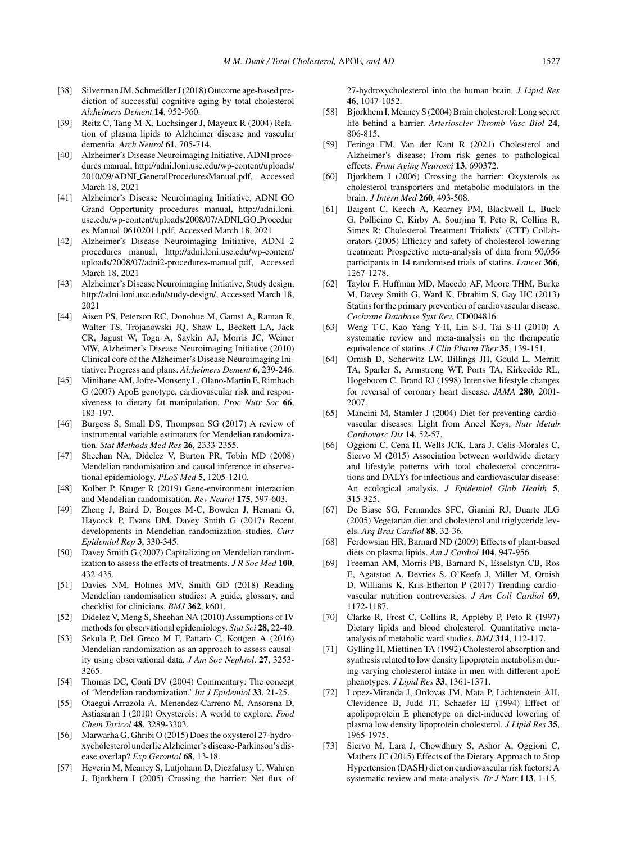- [38] Silverman JM, Schmeidler J (2018) Outcome age-based prediction of successful cognitive aging by total cholesterol *Alzheimers Dement* **14**, 952-960.
- [39] Reitz C, Tang M-X, Luchsinger J, Mayeux R (2004) Relation of plasma lipids to Alzheimer disease and vascular dementia. *Arch Neurol* **61**, 705-714.
- [40] Alzheimer's Disease Neuroimaging Initiative, ADNI procedures manual, [http://adni.loni.usc.edu/wp-content/uploads/](http://adni.loni.usc.edu/wp-content/uploads/2010/09/ADNI_GeneralProceduresManual.pdf) 2010/09/ADNI GeneralProceduresManual.pdf, Accessed March 18, 2021
- [41] Alzheimer's Disease Neuroimaging Initiative, ADNI GO Grand Opportunity procedures manual, http://adni.loni. usc.edu/wp-content/uploads/2008/07/ADNI GO Procedur es Manual 06102011.pdf, Accessed March 18, 2021
- [42] Alzheimer's Disease Neuroimaging Initiative, ADNI 2 procedures manual, [http://adni.loni.usc.edu/wp-content/](http://adni.loni.usc.edu/wp-content/uploads/2008/07/adni2-procedures-manual.pdf) uploads/2008/07/adni2-procedures-manual.pdf, Accessed March 18, 2021
- [43] Alzheimer's Disease Neuroimaging Initiative, Study design, <http://adni.loni.usc.edu/study-design/>, Accessed March 18, 2021
- [44] Aisen PS, Peterson RC, Donohue M, Gamst A, Raman R, Walter TS, Trojanowski JQ, Shaw L, Beckett LA, Jack CR, Jagust W, Toga A, Saykin AJ, Morris JC, Weiner MW, Alzheimer's Disease Neuroimaging Initiative (2010) Clinical core of the Alzheimer's Disease Neuroimaging Initiative: Progress and plans. *Alzheimers Dement* **6**, 239-246.
- [45] Minihane AM, Jofre-Monseny L, Olano-Martin E, Rimbach G (2007) ApoE genotype, cardiovascular risk and responsiveness to dietary fat manipulation. *Proc Nutr Soc* **66**, 183-197.
- [46] Burgess S, Small DS, Thompson SG (2017) A review of instrumental variable estimators for Mendelian randomization. *Stat Methods Med Res* **26**, 2333-2355.
- [47] Sheehan NA, Didelez V, Burton PR, Tobin MD (2008) Mendelian randomisation and causal inference in observational epidemiology. *PLoS Med* **5**, 1205-1210.
- [48] Kolber P, Kruger R (2019) Gene-environment interaction and Mendelian randomisation. *Rev Neurol* **175**, 597-603.
- [49] Zheng J, Baird D, Borges M-C, Bowden J, Hemani G, Haycock P, Evans DM, Davey Smith G (2017) Recent developments in Mendelian randomization studies. *Curr Epidemiol Rep* **3**, 330-345.
- [50] Davey Smith G (2007) Capitalizing on Mendelian randomization to assess the effects of treatments. *J R Soc Med* **100**, 432-435.
- [51] Davies NM, Holmes MV, Smith GD (2018) Reading Mendelian randomisation studies: A guide, glossary, and checklist for clinicians. *BMJ* **362**, k601.
- [52] Didelez V, Meng S, Sheehan NA (2010) Assumptions of IV methods for observational epidemiology. *Stat Sci* **28**, 22-40.
- [53] Sekula P, Del Greco M F, Pattaro C, Kottgen A (2016) Mendelian randomization as an approach to assess causality using observational data. *J Am Soc Nephrol*. **27**, 3253- 3265.
- [54] Thomas DC, Conti DV (2004) Commentary: The concept of 'Mendelian randomization.' *Int J Epidemiol* **33**, 21-25.
- [55] Otaegui-Arrazola A, Menendez-Carreno M, Ansorena D, Astiasaran I (2010) Oxysterols: A world to explore. *Food Chem Toxicol* **48**, 3289-3303.
- [56] Marwarha G, Ghribi O (2015) Does the oxysterol 27-hydroxycholesterol underlie Alzheimer's disease-Parkinson's disease overlap? *Exp Gerontol* **68**, 13-18.
- [57] Heverin M, Meaney S, Lutjohann D, Diczfalusy U, Wahren J, Bjorkhem I (2005) Crossing the barrier: Net flux of

27-hydroxycholesterol into the human brain. *J Lipid Res* **46**, 1047-1052.

- [58] Bjorkhem I, Meaney S (2004) Brain cholesterol: Long secret life behind a barrier. *Arterioscler Thromb Vasc Biol* **24**, 806-815.
- [59] Feringa FM, Van der Kant R (2021) Cholesterol and Alzheimer's disease; From risk genes to pathological effects. *Front Aging Neurosci* **13**, 690372.
- [60] Bjorkhem I (2006) Crossing the barrier: Oxysterols as cholesterol transporters and metabolic modulators in the brain. *J Intern Med* **260**, 493-508.
- [\[61\] Baigent C, Keech A, Kearney PM, Blackwell L, Buck](http://adni.loni.usc.edu/wp-content/uploads/2008/07/ADNI_GO_Procedures_Manual_06102011.pdf) G, Pollicino C, Kirby A, Sourjina T, Peto R, Collins R, Simes R; Cholesterol Treatment Trialists' (CTT) Collaborators (2005) Efficacy and safety of cholesterol-lowering treatment: Prospective meta-analysis of data from 90,056 participants in 14 randomised trials of statins. *Lancet* **366**, 1267-1278.
- [62] Taylor F, Huffman MD, Macedo AF, Moore THM, Burke M, Davey Smith G, Ward K, Ebrahim S, Gay HC (2013) Statins for the primary prevention of cardiovascular disease. *Cochrane Database Syst Rev*, CD004816.
- [63] Weng T-C, Kao Yang Y-H, Lin S-J, Tai S-H (2010) A systematic review and meta-analysis on the therapeutic equivalence of statins. *J Clin Pharm Ther* **35**, 139-151.
- [64] Ornish D, Scherwitz LW, Billings JH, Gould L, Merritt TA, Sparler S, Armstrong WT, Ports TA, Kirkeeide RL, Hogeboom C, Brand RJ (1998) Intensive lifestyle changes for reversal of coronary heart disease. *JAMA* **280**, 2001- 2007.
- [65] Mancini M, Stamler J (2004) Diet for preventing cardiovascular diseases: Light from Ancel Keys, *Nutr Metab Cardiovasc Dis* **14**, 52-57.
- [66] Oggioni C, Cena H, Wells JCK, Lara J, Celis-Morales C, Siervo M (2015) Association between worldwide dietary and lifestyle patterns with total cholesterol concentrations and DALYs for infectious and cardiovascular disease: An ecological analysis. *J Epidemiol Glob Health* **5**, 315-325.
- [67] De Biase SG, Fernandes SFC, Gianini RJ, Duarte JLG (2005) Vegetarian diet and cholesterol and triglyceride levels. *Arq Bras Cardiol* **88**, 32-36.
- [68] Ferdowsian HR, Barnard ND (2009) Effects of plant-based diets on plasma lipids. *Am J Cardiol* **104**, 947-956.
- [69] Freeman AM, Morris PB, Barnard N, Esselstyn CB, Ros E, Agatston A, Devries S, O'Keefe J, Miller M, Ornish D, Williams K, Kris-Etherton P (2017) Trending cardiovascular nutrition controversies. *J Am Coll Cardiol* **69**, 1172-1187.
- [70] Clarke R, Frost C, Collins R, Appleby P, Peto R (1997) Dietary lipids and blood cholesterol: Quantitative metaanalysis of metabolic ward studies. *BMJ* **314**, 112-117.
- [71] Gylling H, Miettinen TA (1992) Cholesterol absorption and synthesis related to low density lipoprotein metabolism during varying cholesterol intake in men with different apoE phenotypes. *J Lipid Res* **33**, 1361-1371.
- [72] Lopez-Miranda J, Ordovas JM, Mata P, Lichtenstein AH, Clevidence B, Judd JT, Schaefer EJ (1994) Effect of apolipoprotein E phenotype on diet-induced lowering of plasma low density lipoprotein cholesterol. *J Lipid Res* **35**, 1965-1975.
- [73] Siervo M, Lara J, Chowdhury S, Ashor A, Oggioni C, Mathers JC (2015) Effects of the Dietary Approach to Stop Hypertension (DASH) diet on cardiovascular risk factors: A systematic review and meta-analysis. *Br J Nutr* **113**, 1-15.